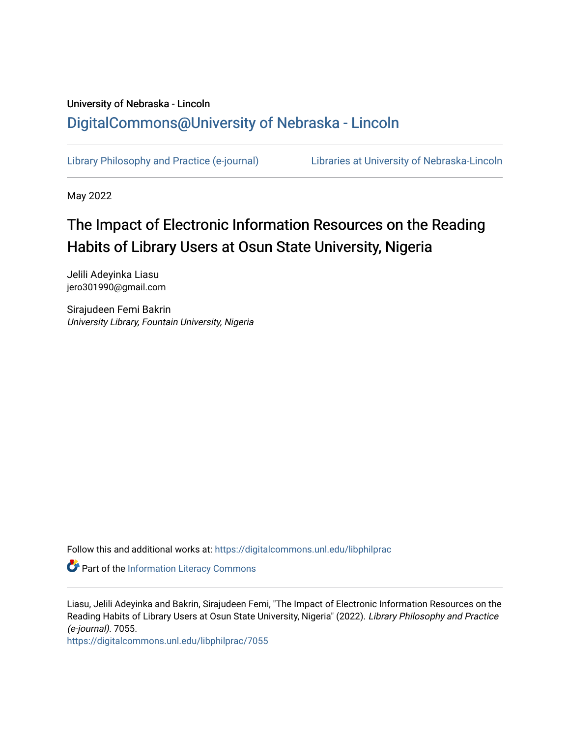# University of Nebraska - Lincoln [DigitalCommons@University of Nebraska - Lincoln](https://digitalcommons.unl.edu/)

[Library Philosophy and Practice \(e-journal\)](https://digitalcommons.unl.edu/libphilprac) [Libraries at University of Nebraska-Lincoln](https://digitalcommons.unl.edu/libraries) 

May 2022

# The Impact of Electronic Information Resources on the Reading Habits of Library Users at Osun State University, Nigeria

Jelili Adeyinka Liasu jero301990@gmail.com

Sirajudeen Femi Bakrin University Library, Fountain University, Nigeria

Follow this and additional works at: [https://digitalcommons.unl.edu/libphilprac](https://digitalcommons.unl.edu/libphilprac?utm_source=digitalcommons.unl.edu%2Flibphilprac%2F7055&utm_medium=PDF&utm_campaign=PDFCoverPages) 

**Part of the [Information Literacy Commons](http://network.bepress.com/hgg/discipline/1243?utm_source=digitalcommons.unl.edu%2Flibphilprac%2F7055&utm_medium=PDF&utm_campaign=PDFCoverPages)** 

Liasu, Jelili Adeyinka and Bakrin, Sirajudeen Femi, "The Impact of Electronic Information Resources on the Reading Habits of Library Users at Osun State University, Nigeria" (2022). Library Philosophy and Practice (e-journal). 7055.

[https://digitalcommons.unl.edu/libphilprac/7055](https://digitalcommons.unl.edu/libphilprac/7055?utm_source=digitalcommons.unl.edu%2Flibphilprac%2F7055&utm_medium=PDF&utm_campaign=PDFCoverPages)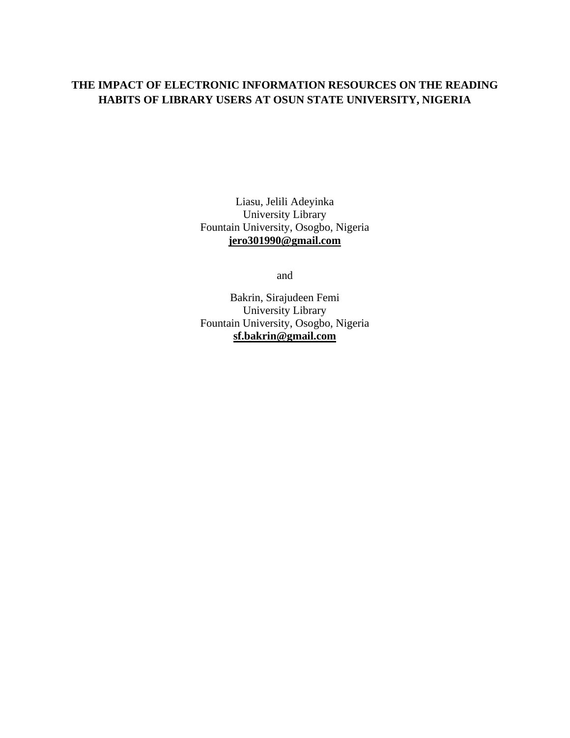# **THE IMPACT OF ELECTRONIC INFORMATION RESOURCES ON THE READING HABITS OF LIBRARY USERS AT OSUN STATE UNIVERSITY, NIGERIA**

Liasu, Jelili Adeyinka University Library Fountain University, Osogbo, Nigeria **[jero301990@gmail.com](mailto:jero301990@gmail.com)**

and

Bakrin, Sirajudeen Femi University Library Fountain University, Osogbo, Nigeria **[sf.bakrin@gmail.com](mailto:sf.bakrin@gmail.com)**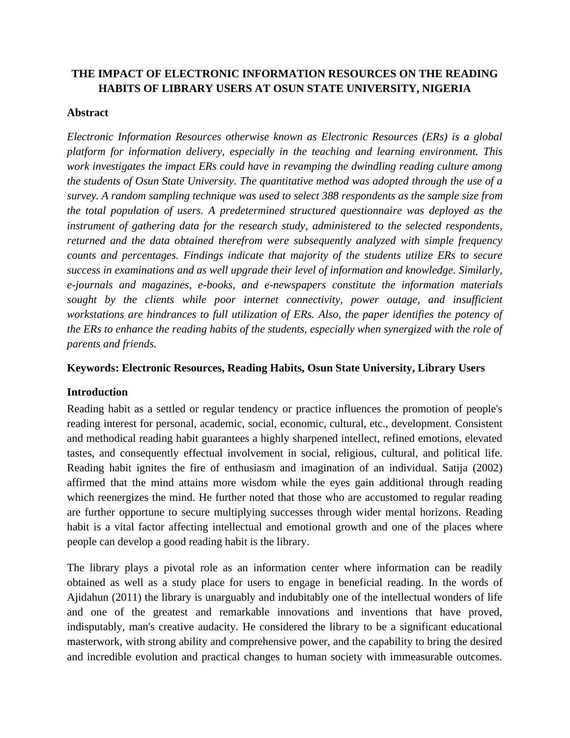# **THE IMPACT OF ELECTRONIC INFORMATION RESOURCES ON THE READING HABITS OF LIBRARY USERS AT OSUN STATE UNIVERSITY, NIGERIA**

#### **Abstract**

*Electronic Information Resources otherwise known as Electronic Resources (ERs) is a global platform for information delivery, especially in the teaching and learning environment. This work investigates the impact ERs could have in revamping the dwindling reading culture among the students of Osun State University. The quantitative method was adopted through the use of a survey. A random sampling technique was used to select 388 respondents as the sample size from the total population of users. A predetermined structured questionnaire was deployed as the instrument of gathering data for the research study, administered to the selected respondents, returned and the data obtained therefrom were subsequently analyzed with simple frequency counts and percentages. Findings indicate that majority of the students utilize ERs to secure success in examinations and as well upgrade their level of information and knowledge. Similarly, e-journals and magazines, e-books, and e-newspapers constitute the information materials sought by the clients while poor internet connectivity, power outage, and insufficient workstations are hindrances to full utilization of ERs. Also, the paper identifies the potency of the ERs to enhance the reading habits of the students, especially when synergized with the role of parents and friends.*

#### **Keywords: Electronic Resources, Reading Habits, Osun State University, Library Users**

#### **Introduction**

Reading habit as a settled or regular tendency or practice influences the promotion of people's reading interest for personal, academic, social, economic, cultural, etc., development. Consistent and methodical reading habit guarantees a highly sharpened intellect, refined emotions, elevated tastes, and consequently effectual involvement in social, religious, cultural, and political life. Reading habit ignites the fire of enthusiasm and imagination of an individual. Satija (2002) affirmed that the mind attains more wisdom while the eyes gain additional through reading which reenergizes the mind. He further noted that those who are accustomed to regular reading are further opportune to secure multiplying successes through wider mental horizons. Reading habit is a vital factor affecting intellectual and emotional growth and one of the places where people can develop a good reading habit is the library.

The library plays a pivotal role as an information center where information can be readily obtained as well as a study place for users to engage in beneficial reading. In the words of Ajidahun (2011) the library is unarguably and indubitably one of the intellectual wonders of life and one of the greatest and remarkable innovations and inventions that have proved, indisputably, man's creative audacity. He considered the library to be a significant educational masterwork, with strong ability and comprehensive power, and the capability to bring the desired and incredible evolution and practical changes to human society with immeasurable outcomes.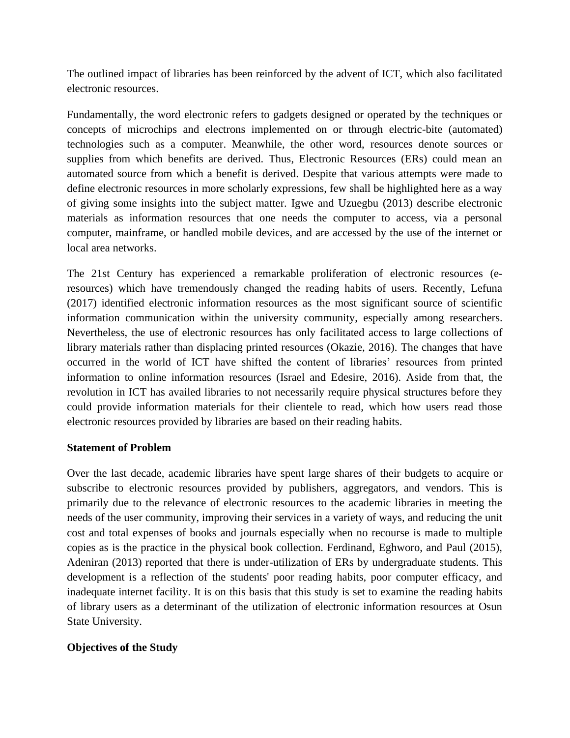The outlined impact of libraries has been reinforced by the advent of ICT, which also facilitated electronic resources.

Fundamentally, the word electronic refers to gadgets designed or operated by the techniques or concepts of microchips and electrons implemented on or through electric-bite (automated) technologies such as a computer. Meanwhile, the other word, resources denote sources or supplies from which benefits are derived. Thus, Electronic Resources (ERs) could mean an automated source from which a benefit is derived. Despite that various attempts were made to define electronic resources in more scholarly expressions, few shall be highlighted here as a way of giving some insights into the subject matter. Igwe and Uzuegbu (2013) describe electronic materials as information resources that one needs the computer to access, via a personal computer, mainframe, or handled mobile devices, and are accessed by the use of the internet or local area networks.

The 21st Century has experienced a remarkable proliferation of electronic resources (eresources) which have tremendously changed the reading habits of users. Recently, Lefuna (2017) identified electronic information resources as the most significant source of scientific information communication within the university community, especially among researchers. Nevertheless, the use of electronic resources has only facilitated access to large collections of library materials rather than displacing printed resources (Okazie, 2016). The changes that have occurred in the world of ICT have shifted the content of libraries' resources from printed information to online information resources (Israel and Edesire, 2016). Aside from that, the revolution in ICT has availed libraries to not necessarily require physical structures before they could provide information materials for their clientele to read, which how users read those electronic resources provided by libraries are based on their reading habits.

#### **Statement of Problem**

Over the last decade, academic libraries have spent large shares of their budgets to acquire or subscribe to electronic resources provided by publishers, aggregators, and vendors. This is primarily due to the relevance of electronic resources to the academic libraries in meeting the needs of the user community, improving their services in a variety of ways, and reducing the unit cost and total expenses of books and journals especially when no recourse is made to multiple copies as is the practice in the physical book collection. Ferdinand, Eghworo, and Paul (2015), Adeniran (2013) reported that there is under-utilization of ERs by undergraduate students. This development is a reflection of the students' poor reading habits, poor computer efficacy, and inadequate internet facility. It is on this basis that this study is set to examine the reading habits of library users as a determinant of the utilization of electronic information resources at Osun State University.

# **Objectives of the Study**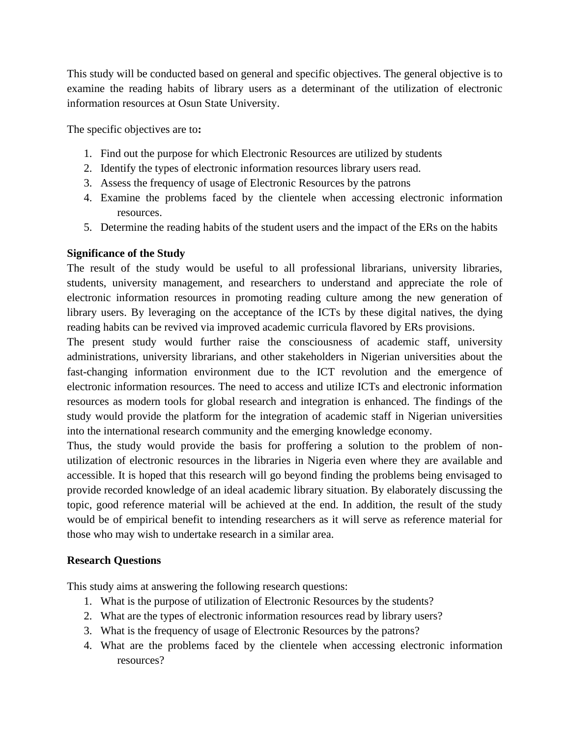This study will be conducted based on general and specific objectives. The general objective is to examine the reading habits of library users as a determinant of the utilization of electronic information resources at Osun State University.

The specific objectives are to**:**

- 1. Find out the purpose for which Electronic Resources are utilized by students
- 2. Identify the types of electronic information resources library users read.
- 3. Assess the frequency of usage of Electronic Resources by the patrons
- 4. Examine the problems faced by the clientele when accessing electronic information resources.
- 5. Determine the reading habits of the student users and the impact of the ERs on the habits

# **Significance of the Study**

The result of the study would be useful to all professional librarians, university libraries, students, university management, and researchers to understand and appreciate the role of electronic information resources in promoting reading culture among the new generation of library users. By leveraging on the acceptance of the ICTs by these digital natives, the dying reading habits can be revived via improved academic curricula flavored by ERs provisions.

The present study would further raise the consciousness of academic staff, university administrations, university librarians, and other stakeholders in Nigerian universities about the fast-changing information environment due to the ICT revolution and the emergence of electronic information resources. The need to access and utilize ICTs and electronic information resources as modern tools for global research and integration is enhanced. The findings of the study would provide the platform for the integration of academic staff in Nigerian universities into the international research community and the emerging knowledge economy.

Thus, the study would provide the basis for proffering a solution to the problem of nonutilization of electronic resources in the libraries in Nigeria even where they are available and accessible. It is hoped that this research will go beyond finding the problems being envisaged to provide recorded knowledge of an ideal academic library situation. By elaborately discussing the topic, good reference material will be achieved at the end. In addition, the result of the study would be of empirical benefit to intending researchers as it will serve as reference material for those who may wish to undertake research in a similar area.

# **Research Questions**

This study aims at answering the following research questions:

- 1. What is the purpose of utilization of Electronic Resources by the students?
- 2. What are the types of electronic information resources read by library users?
- 3. What is the frequency of usage of Electronic Resources by the patrons?
- 4. What are the problems faced by the clientele when accessing electronic information resources?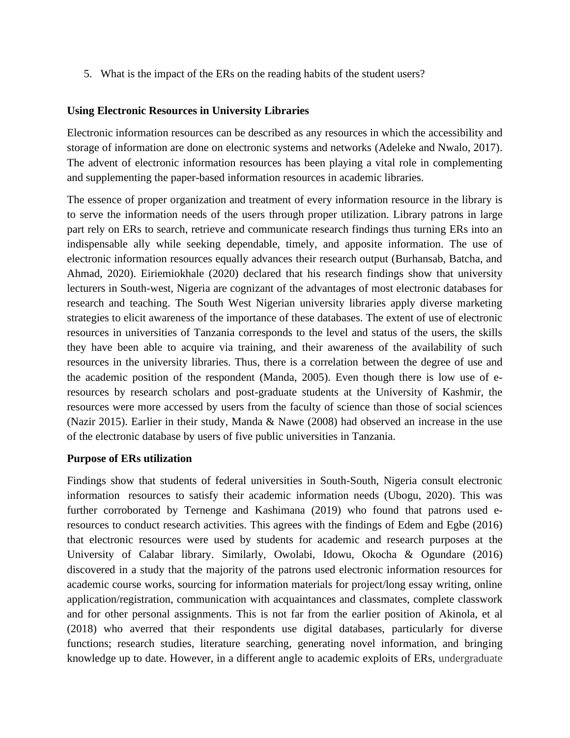5. What is the impact of the ERs on the reading habits of the student users?

#### **Using Electronic Resources in University Libraries**

Electronic information resources can be described as any resources in which the accessibility and storage of information are done on electronic systems and networks (Adeleke and Nwalo, 2017). The advent of electronic information resources has been playing a vital role in complementing and supplementing the paper-based information resources in academic libraries.

The essence of proper organization and treatment of every information resource in the library is to serve the information needs of the users through proper utilization. Library patrons in large part rely on ERs to search, retrieve and communicate research findings thus turning ERs into an indispensable ally while seeking dependable, timely, and apposite information. The use of electronic information resources equally advances their research output (Burhansab, Batcha, and Ahmad, 2020). Eiriemiokhale (2020) declared that his research findings show that university lecturers in South-west, Nigeria are cognizant of the advantages of most electronic databases for research and teaching. The South West Nigerian university libraries apply diverse marketing strategies to elicit awareness of the importance of these databases. The extent of use of electronic resources in universities of Tanzania corresponds to the level and status of the users, the skills they have been able to acquire via training, and their awareness of the availability of such resources in the university libraries. Thus, there is a correlation between the degree of use and the academic position of the respondent (Manda, 2005). Even though there is low use of eresources by research scholars and post-graduate students at the University of Kashmir, the resources were more accessed by users from the faculty of science than those of social sciences (Nazir 2015). Earlier in their study, Manda & Nawe (2008) had observed an increase in the use of the electronic database by users of five public universities in Tanzania.

#### **Purpose of ERs utilization**

Findings show that students of federal universities in South-South, Nigeria consult electronic information resources to satisfy their academic information needs (Ubogu, 2020). This was further corroborated by Ternenge and Kashimana (2019) who found that patrons used eresources to conduct research activities. This agrees with the findings of Edem and Egbe (2016) that electronic resources were used by students for academic and research purposes at the University of Calabar library. Similarly, Owolabi, Idowu, Okocha & Ogundare (2016) discovered in a study that the majority of the patrons used electronic information resources for academic course works, sourcing for information materials for project/long essay writing, online application/registration, communication with acquaintances and classmates, complete classwork and for other personal assignments. This is not far from the earlier position of Akinola, et al (2018) who averred that their respondents use digital databases, particularly for diverse functions; research studies, literature searching, generating novel information, and bringing knowledge up to date. However, in a different angle to academic exploits of ERs, undergraduate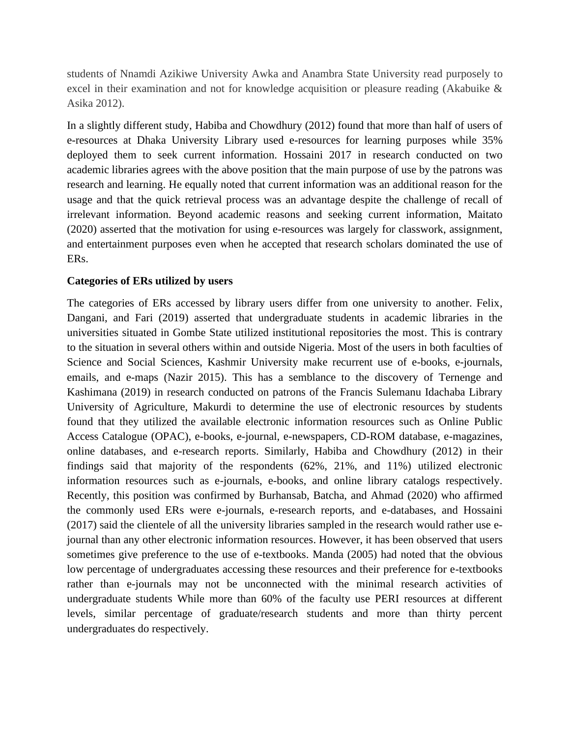students of Nnamdi Azikiwe University Awka and Anambra State University read purposely to excel in their examination and not for knowledge acquisition or pleasure reading (Akabuike & Asika 2012).

In a slightly different study, Habiba and Chowdhury (2012) found that more than half of users of e-resources at Dhaka University Library used e-resources for learning purposes while 35% deployed them to seek current information. Hossaini 2017 in research conducted on two academic libraries agrees with the above position that the main purpose of use by the patrons was research and learning. He equally noted that current information was an additional reason for the usage and that the quick retrieval process was an advantage despite the challenge of recall of irrelevant information. Beyond academic reasons and seeking current information, Maitato (2020) asserted that the motivation for using e-resources was largely for classwork, assignment, and entertainment purposes even when he accepted that research scholars dominated the use of ERs.

#### **Categories of ERs utilized by users**

The categories of ERs accessed by library users differ from one university to another. Felix, Dangani, and Fari (2019) asserted that undergraduate students in academic libraries in the universities situated in Gombe State utilized institutional repositories the most. This is contrary to the situation in several others within and outside Nigeria. Most of the users in both faculties of Science and Social Sciences, Kashmir University make recurrent use of e-books, e-journals, emails, and e-maps (Nazir 2015). This has a semblance to the discovery of Ternenge and Kashimana (2019) in research conducted on patrons of the Francis Sulemanu Idachaba Library University of Agriculture, Makurdi to determine the use of electronic resources by students found that they utilized the available electronic information resources such as Online Public Access Catalogue (OPAC), e-books, e-journal, e-newspapers, CD-ROM database, e-magazines, online databases, and e-research reports. Similarly, Habiba and Chowdhury (2012) in their findings said that majority of the respondents (62%, 21%, and 11%) utilized electronic information resources such as e-journals, e-books, and online library catalogs respectively. Recently, this position was confirmed by Burhansab, Batcha, and Ahmad (2020) who affirmed the commonly used ERs were e-journals, e-research reports, and e-databases, and Hossaini (2017) said the clientele of all the university libraries sampled in the research would rather use ejournal than any other electronic information resources. However, it has been observed that users sometimes give preference to the use of e-textbooks. Manda (2005) had noted that the obvious low percentage of undergraduates accessing these resources and their preference for e-textbooks rather than e-journals may not be unconnected with the minimal research activities of undergraduate students While more than 60% of the faculty use PERI resources at different levels, similar percentage of graduate/research students and more than thirty percent undergraduates do respectively.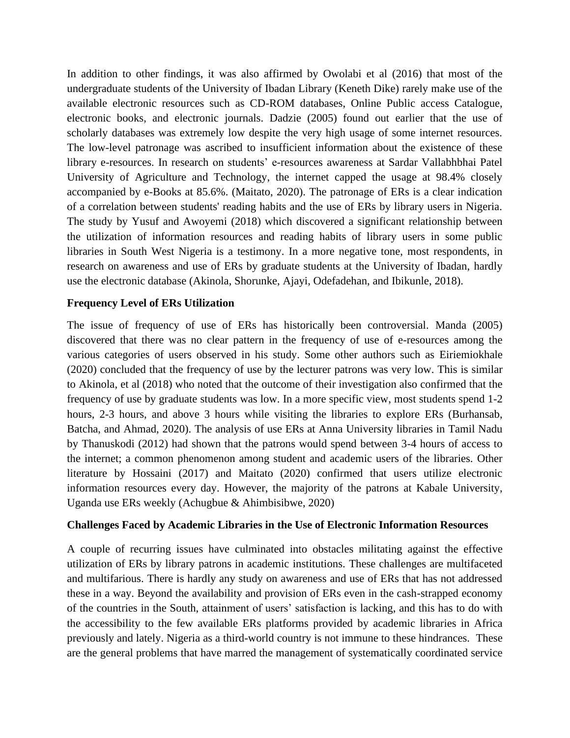In addition to other findings, it was also affirmed by Owolabi et al (2016) that most of the undergraduate students of the University of Ibadan Library (Keneth Dike) rarely make use of the available electronic resources such as CD-ROM databases, Online Public access Catalogue, electronic books, and electronic journals. Dadzie (2005) found out earlier that the use of scholarly databases was extremely low despite the very high usage of some internet resources. The low-level patronage was ascribed to insufficient information about the existence of these library e-resources. In research on students' e-resources awareness at Sardar Vallabhbhai Patel University of Agriculture and Technology, the internet capped the usage at 98.4% closely accompanied by e-Books at 85.6%. (Maitato, 2020). The patronage of ERs is a clear indication of a correlation between students' reading habits and the use of ERs by library users in Nigeria. The study by Yusuf and Awoyemi (2018) which discovered a significant relationship between the utilization of information resources and reading habits of library users in some public libraries in South West Nigeria is a testimony. In a more negative tone, most respondents, in research on awareness and use of ERs by graduate students at the University of Ibadan, hardly use the electronic database (Akinola, Shorunke, Ajayi, Odefadehan, and Ibikunle, 2018).

#### **Frequency Level of ERs Utilization**

The issue of frequency of use of ERs has historically been controversial. Manda (2005) discovered that there was no clear pattern in the frequency of use of e-resources among the various categories of users observed in his study. Some other authors such as Eiriemiokhale (2020) concluded that the frequency of use by the lecturer patrons was very low. This is similar to Akinola, et al (2018) who noted that the outcome of their investigation also confirmed that the frequency of use by graduate students was low. In a more specific view, most students spend 1-2 hours, 2-3 hours, and above 3 hours while visiting the libraries to explore ERs (Burhansab, Batcha, and Ahmad, 2020). The analysis of use ERs at Anna University libraries in Tamil Nadu by Thanuskodi (2012) had shown that the patrons would spend between 3-4 hours of access to the internet; a common phenomenon among student and academic users of the libraries. Other literature by Hossaini (2017) and Maitato (2020) confirmed that users utilize electronic information resources every day. However, the majority of the patrons at Kabale University, Uganda use ERs weekly (Achugbue & Ahimbisibwe, 2020)

#### **Challenges Faced by Academic Libraries in the Use of Electronic Information Resources**

A couple of recurring issues have culminated into obstacles militating against the effective utilization of ERs by library patrons in academic institutions. These challenges are multifaceted and multifarious. There is hardly any study on awareness and use of ERs that has not addressed these in a way. Beyond the availability and provision of ERs even in the cash-strapped economy of the countries in the South, attainment of users' satisfaction is lacking, and this has to do with the accessibility to the few available ERs platforms provided by academic libraries in Africa previously and lately. Nigeria as a third-world country is not immune to these hindrances. These are the general problems that have marred the management of systematically coordinated service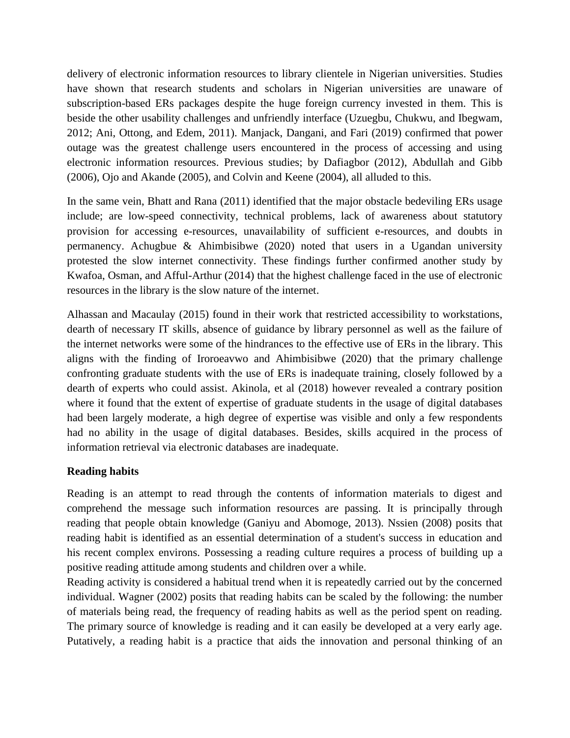delivery of electronic information resources to library clientele in Nigerian universities. Studies have shown that research students and scholars in Nigerian universities are unaware of subscription-based ERs packages despite the huge foreign currency invested in them. This is beside the other usability challenges and unfriendly interface (Uzuegbu, Chukwu, and Ibegwam, 2012; Ani, Ottong, and Edem, 2011). Manjack, Dangani, and Fari (2019) confirmed that power outage was the greatest challenge users encountered in the process of accessing and using electronic information resources. Previous studies; by Dafiagbor (2012), Abdullah and Gibb (2006), Ojo and Akande (2005), and Colvin and Keene (2004), all alluded to this.

In the same vein, Bhatt and Rana (2011) identified that the major obstacle bedeviling ERs usage include; are low-speed connectivity, technical problems, lack of awareness about statutory provision for accessing e-resources, unavailability of sufficient e-resources, and doubts in permanency. Achugbue & Ahimbisibwe (2020) noted that users in a Ugandan university protested the slow internet connectivity. These findings further confirmed another study by Kwafoa, Osman, and Afful-Arthur (2014) that the highest challenge faced in the use of electronic resources in the library is the slow nature of the internet.

Alhassan and Macaulay (2015) found in their work that restricted accessibility to workstations, dearth of necessary IT skills, absence of guidance by library personnel as well as the failure of the internet networks were some of the hindrances to the effective use of ERs in the library. This aligns with the finding of Iroroeavwo and Ahimbisibwe (2020) that the primary challenge confronting graduate students with the use of ERs is inadequate training, closely followed by a dearth of experts who could assist. Akinola, et al (2018) however revealed a contrary position where it found that the extent of expertise of graduate students in the usage of digital databases had been largely moderate, a high degree of expertise was visible and only a few respondents had no ability in the usage of digital databases. Besides, skills acquired in the process of information retrieval via electronic databases are inadequate.

#### **Reading habits**

Reading is an attempt to read through the contents of information materials to digest and comprehend the message such information resources are passing. It is principally through reading that people obtain knowledge (Ganiyu and Abomoge, 2013). Nssien (2008) posits that reading habit is identified as an essential determination of a student's success in education and his recent complex environs. Possessing a reading culture requires a process of building up a positive reading attitude among students and children over a while.

Reading activity is considered a habitual trend when it is repeatedly carried out by the concerned individual. Wagner (2002) posits that reading habits can be scaled by the following: the number of materials being read, the frequency of reading habits as well as the period spent on reading. The primary source of knowledge is reading and it can easily be developed at a very early age. Putatively, a reading habit is a practice that aids the innovation and personal thinking of an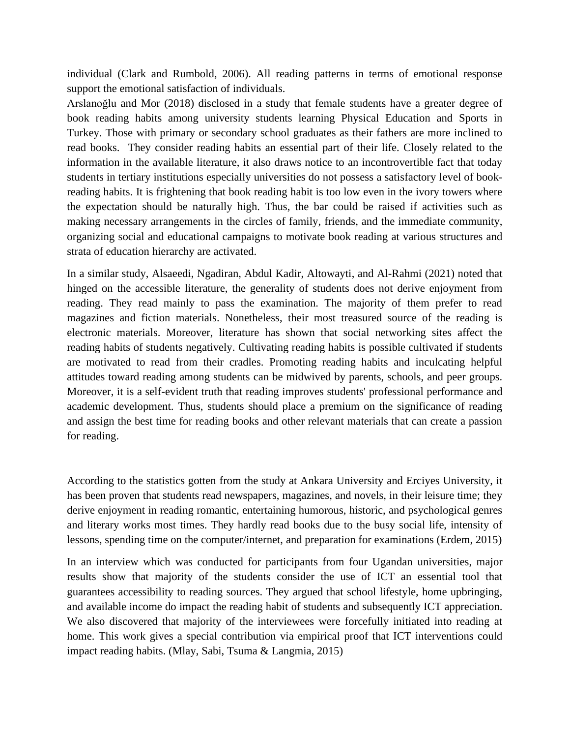individual (Clark and Rumbold, 2006). All reading patterns in terms of emotional response support the emotional satisfaction of individuals.

Arslanoğlu and Mor (2018) disclosed in a study that female students have a greater degree of book reading habits among university students learning Physical Education and Sports in Turkey. Those with primary or secondary school graduates as their fathers are more inclined to read books. They consider reading habits an essential part of their life. Closely related to the information in the available literature, it also draws notice to an incontrovertible fact that today students in tertiary institutions especially universities do not possess a satisfactory level of bookreading habits. It is frightening that book reading habit is too low even in the ivory towers where the expectation should be naturally high. Thus, the bar could be raised if activities such as making necessary arrangements in the circles of family, friends, and the immediate community, organizing social and educational campaigns to motivate book reading at various structures and strata of education hierarchy are activated.

In a similar study, Alsaeedi, Ngadiran, Abdul Kadir, Altowayti, and Al-Rahmi (2021) noted that hinged on the accessible literature, the generality of students does not derive enjoyment from reading. They read mainly to pass the examination. The majority of them prefer to read magazines and fiction materials. Nonetheless, their most treasured source of the reading is electronic materials. Moreover, literature has shown that social networking sites affect the reading habits of students negatively. Cultivating reading habits is possible cultivated if students are motivated to read from their cradles. Promoting reading habits and inculcating helpful attitudes toward reading among students can be midwived by parents, schools, and peer groups. Moreover, it is a self-evident truth that reading improves students' professional performance and academic development. Thus, students should place a premium on the significance of reading and assign the best time for reading books and other relevant materials that can create a passion for reading.

According to the statistics gotten from the study at Ankara University and Erciyes University, it has been proven that students read newspapers, magazines, and novels, in their leisure time; they derive enjoyment in reading romantic, entertaining humorous, historic, and psychological genres and literary works most times. They hardly read books due to the busy social life, intensity of lessons, spending time on the computer/internet, and preparation for examinations (Erdem, 2015)

In an interview which was conducted for participants from four Ugandan universities, major results show that majority of the students consider the use of ICT an essential tool that guarantees accessibility to reading sources. They argued that school lifestyle, home upbringing, and available income do impact the reading habit of students and subsequently ICT appreciation. We also discovered that majority of the interviewees were forcefully initiated into reading at home. This work gives a special contribution via empirical proof that ICT interventions could impact reading habits. (Mlay, Sabi, Tsuma & Langmia, 2015)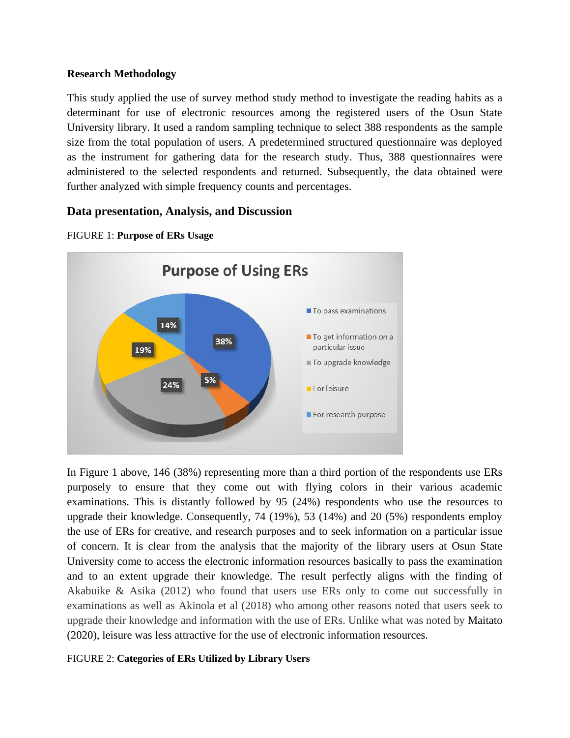#### **Research Methodology**

This study applied the use of survey method study method to investigate the reading habits as a determinant for use of electronic resources among the registered users of the Osun State University library. It used a random sampling technique to select 388 respondents as the sample size from the total population of users. A predetermined structured questionnaire was deployed as the instrument for gathering data for the research study. Thus, 388 questionnaires were administered to the selected respondents and returned. Subsequently, the data obtained were further analyzed with simple frequency counts and percentages.

# **Data presentation, Analysis, and Discussion**



#### FIGURE 1: **Purpose of ERs Usage**

In Figure 1 above, 146 (38%) representing more than a third portion of the respondents use ERs purposely to ensure that they come out with flying colors in their various academic examinations. This is distantly followed by 95 (24%) respondents who use the resources to upgrade their knowledge. Consequently, 74 (19%), 53 (14%) and 20 (5%) respondents employ the use of ERs for creative, and research purposes and to seek information on a particular issue of concern. It is clear from the analysis that the majority of the library users at Osun State University come to access the electronic information resources basically to pass the examination and to an extent upgrade their knowledge. The result perfectly aligns with the finding of Akabuike & Asika (2012) who found that users use ERs only to come out successfully in examinations as well as Akinola et al (2018) who among other reasons noted that users seek to upgrade their knowledge and information with the use of ERs. Unlike what was noted by Maitato (2020), leisure was less attractive for the use of electronic information resources.

FIGURE 2: **Categories of ERs Utilized by Library Users**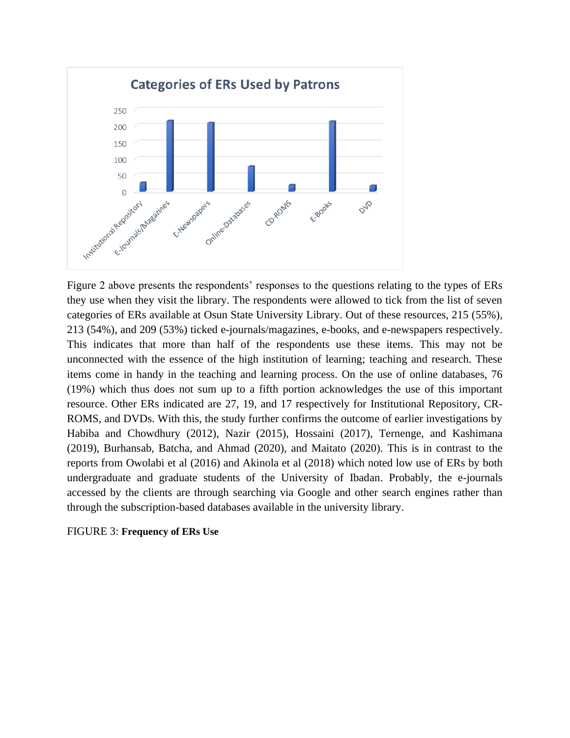

Figure 2 above presents the respondents' responses to the questions relating to the types of ERs they use when they visit the library. The respondents were allowed to tick from the list of seven categories of ERs available at Osun State University Library. Out of these resources, 215 (55%), 213 (54%), and 209 (53%) ticked e-journals/magazines, e-books, and e-newspapers respectively. This indicates that more than half of the respondents use these items. This may not be unconnected with the essence of the high institution of learning; teaching and research. These items come in handy in the teaching and learning process. On the use of online databases, 76 (19%) which thus does not sum up to a fifth portion acknowledges the use of this important resource. Other ERs indicated are 27, 19, and 17 respectively for Institutional Repository, CR-ROMS, and DVDs. With this, the study further confirms the outcome of earlier investigations by Habiba and Chowdhury (2012), Nazir (2015), Hossaini (2017), Ternenge, and Kashimana (2019), Burhansab, Batcha, and Ahmad (2020), and Maitato (2020). This is in contrast to the reports from Owolabi et al (2016) and Akinola et al (2018) which noted low use of ERs by both undergraduate and graduate students of the University of Ibadan. Probably, the e-journals accessed by the clients are through searching via Google and other search engines rather than through the subscription-based databases available in the university library.

#### FIGURE 3: **Frequency of ERs Use**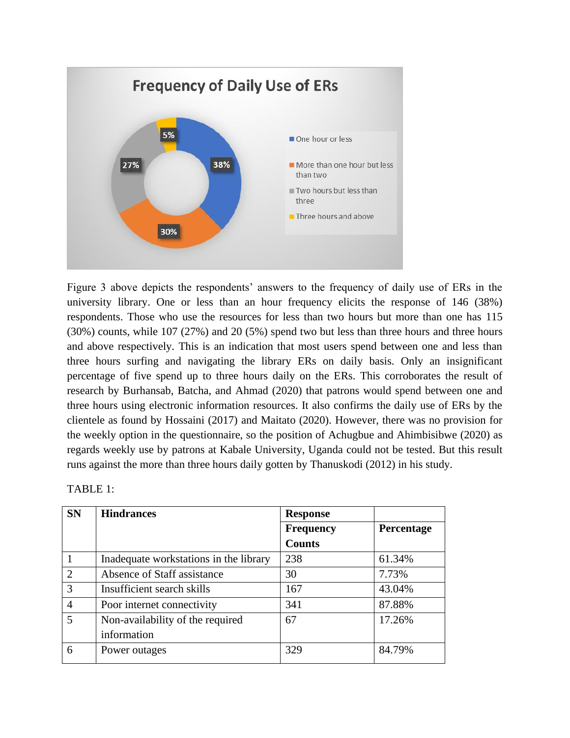

Figure 3 above depicts the respondents' answers to the frequency of daily use of ERs in the university library. One or less than an hour frequency elicits the response of 146 (38%) respondents. Those who use the resources for less than two hours but more than one has 115 (30%) counts, while 107 (27%) and 20 (5%) spend two but less than three hours and three hours and above respectively. This is an indication that most users spend between one and less than three hours surfing and navigating the library ERs on daily basis. Only an insignificant percentage of five spend up to three hours daily on the ERs. This corroborates the result of research by Burhansab, Batcha, and Ahmad (2020) that patrons would spend between one and three hours using electronic information resources. It also confirms the daily use of ERs by the clientele as found by Hossaini (2017) and Maitato (2020). However, there was no provision for the weekly option in the questionnaire, so the position of Achugbue and Ahimbisibwe (2020) as regards weekly use by patrons at Kabale University, Uganda could not be tested. But this result runs against the more than three hours daily gotten by Thanuskodi (2012) in his study.

| <b>SN</b>      | <b>Hindrances</b>                      | <b>Response</b>  |            |
|----------------|----------------------------------------|------------------|------------|
|                |                                        | <b>Frequency</b> | Percentage |
|                |                                        | <b>Counts</b>    |            |
|                | Inadequate workstations in the library | 238              | 61.34%     |
| 2              | Absence of Staff assistance            | 30               | 7.73%      |
| 3              | Insufficient search skills             | 167              | 43.04%     |
| $\overline{4}$ | Poor internet connectivity             | 341              | 87.88%     |
| 5              | Non-availability of the required       | 67               | 17.26%     |
|                | information                            |                  |            |
| 6              | Power outages                          | 329              | 84.79%     |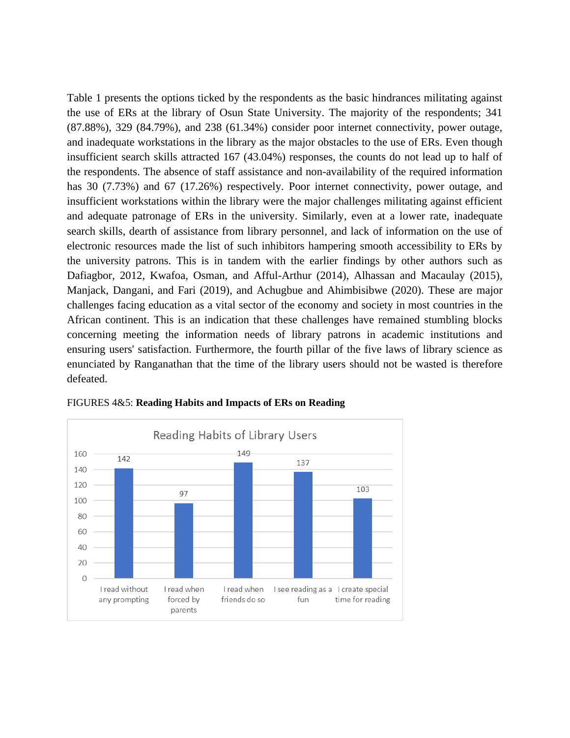Table 1 presents the options ticked by the respondents as the basic hindrances militating against the use of ERs at the library of Osun State University. The majority of the respondents; 341 (87.88%), 329 (84.79%), and 238 (61.34%) consider poor internet connectivity, power outage, and inadequate workstations in the library as the major obstacles to the use of ERs. Even though insufficient search skills attracted 167 (43.04%) responses, the counts do not lead up to half of the respondents. The absence of staff assistance and non-availability of the required information has 30 (7.73%) and 67 (17.26%) respectively. Poor internet connectivity, power outage, and insufficient workstations within the library were the major challenges militating against efficient and adequate patronage of ERs in the university. Similarly, even at a lower rate, inadequate search skills, dearth of assistance from library personnel, and lack of information on the use of electronic resources made the list of such inhibitors hampering smooth accessibility to ERs by the university patrons. This is in tandem with the earlier findings by other authors such as Dafiagbor, 2012, Kwafoa, Osman, and Afful-Arthur (2014), Alhassan and Macaulay (2015), Manjack, Dangani, and Fari (2019), and Achugbue and Ahimbisibwe (2020). These are major challenges facing education as a vital sector of the economy and society in most countries in the African continent. This is an indication that these challenges have remained stumbling blocks concerning meeting the information needs of library patrons in academic institutions and ensuring users' satisfaction. Furthermore, the fourth pillar of the five laws of library science as enunciated by Ranganathan that the time of the library users should not be wasted is therefore defeated.



FIGURES 4&5: **Reading Habits and Impacts of ERs on Reading**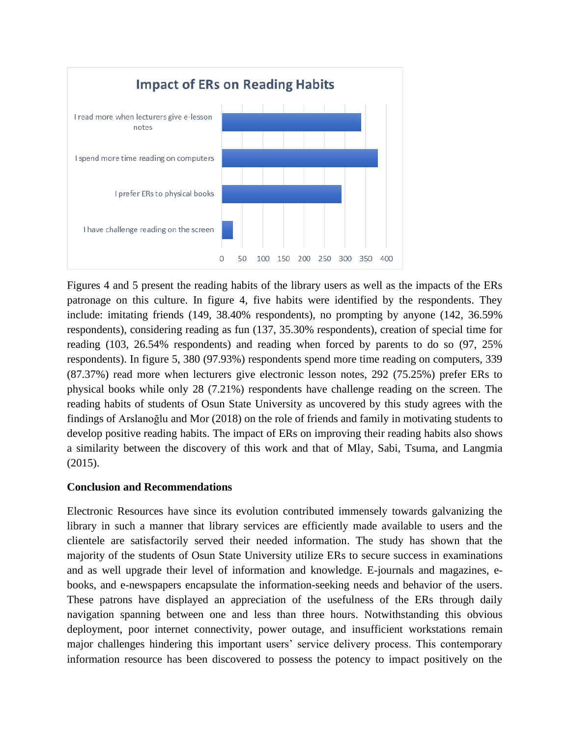

Figures 4 and 5 present the reading habits of the library users as well as the impacts of the ERs patronage on this culture. In figure 4, five habits were identified by the respondents. They include: imitating friends (149, 38.40% respondents), no prompting by anyone (142, 36.59% respondents), considering reading as fun (137, 35.30% respondents), creation of special time for reading (103, 26.54% respondents) and reading when forced by parents to do so (97, 25% respondents). In figure 5, 380 (97.93%) respondents spend more time reading on computers, 339 (87.37%) read more when lecturers give electronic lesson notes, 292 (75.25%) prefer ERs to physical books while only 28 (7.21%) respondents have challenge reading on the screen. The reading habits of students of Osun State University as uncovered by this study agrees with the findings of Arslanoğlu and Mor (2018) on the role of friends and family in motivating students to develop positive reading habits. The impact of ERs on improving their reading habits also shows a similarity between the discovery of this work and that of Mlay, Sabi, Tsuma, and Langmia (2015).

# **Conclusion and Recommendations**

Electronic Resources have since its evolution contributed immensely towards galvanizing the library in such a manner that library services are efficiently made available to users and the clientele are satisfactorily served their needed information. The study has shown that the majority of the students of Osun State University utilize ERs to secure success in examinations and as well upgrade their level of information and knowledge. E-journals and magazines, ebooks, and e-newspapers encapsulate the information-seeking needs and behavior of the users. These patrons have displayed an appreciation of the usefulness of the ERs through daily navigation spanning between one and less than three hours. Notwithstanding this obvious deployment, poor internet connectivity, power outage, and insufficient workstations remain major challenges hindering this important users' service delivery process. This contemporary information resource has been discovered to possess the potency to impact positively on the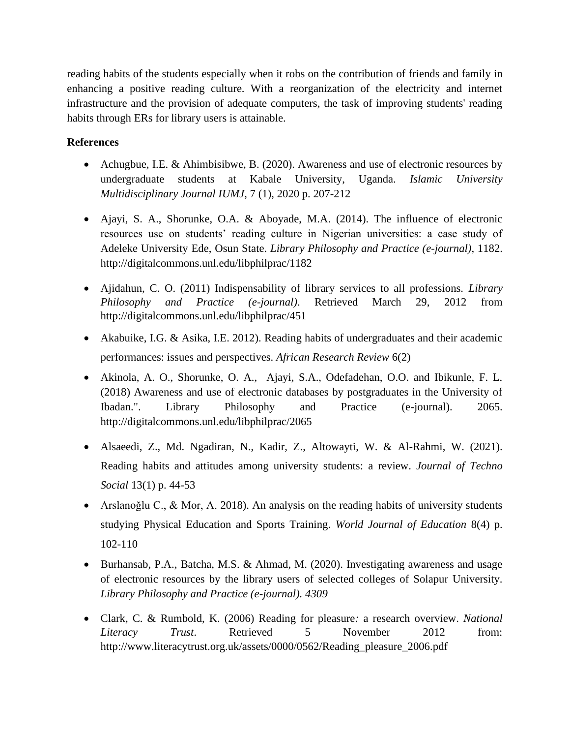reading habits of the students especially when it robs on the contribution of friends and family in enhancing a positive reading culture. With a reorganization of the electricity and internet infrastructure and the provision of adequate computers, the task of improving students' reading habits through ERs for library users is attainable.

# **References**

- Achugbue, I.E. & Ahimbisibwe, B. (2020). Awareness and use of electronic resources by undergraduate students at Kabale University, Uganda. *Islamic University Multidisciplinary Journal IUMJ*, 7 (1), 2020 p. 207-212
- Ajayi, S. A., Shorunke, O.A. & Aboyade, M.A. (2014). The influence of electronic resources use on students' reading culture in Nigerian universities: a case study of Adeleke University Ede, Osun State. *Library Philosophy and Practice (e-journal)*, 1182. <http://digitalcommons.unl.edu/libphilprac/1182>
- Ajidahun, C. O. (2011) Indispensability of library services to all professions. *Library Philosophy and Practice (e-journal)*. Retrieved March 29, 2012 from <http://digitalcommons.unl.edu/libphilprac/451>
- Akabuike, I.G. & Asika, I.E. 2012). Reading habits of undergraduates and their academic performances: issues and perspectives. *African Research Review* [6\(2\)](https://www.ajol.info/index.php/afrrev/issue/view/9096)
- Akinola, A. O., Shorunke, O. A., Ajayi, S.A., Odefadehan, O.O. and Ibikunle, F. L. (2018) Awareness and use of electronic databases by postgraduates in the University of Ibadan.". Library Philosophy and Practice (e-journal). 2065. <http://digitalcommons.unl.edu/libphilprac/2065>
- Alsaeedi, Z., Md. Ngadiran, N., Kadir, Z., Altowayti, W. & Al-Rahmi, W. (2021). Reading habits and attitudes among university students: a review. *Journal of Techno Social* 13(1) p. 44-53
- Arslanoğlu C., & Mor, A. 2018). An analysis on the reading habits of university students studying Physical Education and Sports Training. *World Journal of Education* 8(4) p. 102-110
- Burhansab, P.A., Batcha, M.S. & Ahmad, M. (2020). Investigating awareness and usage of electronic resources by the library users of selected colleges of Solapur University. *Library Philosophy and Practice (e-journal). 4309*
- Clark, C. & Rumbold, K. (2006) Reading for pleasure*:* a research overview. *National Literacy Trust*. Retrieved 5 November 2012 from: [http://www.literacytrust.org.uk/assets/0000/0562/Reading\\_pleasure\\_2006.pdf](http://www.literacytrust.org.uk/assets/0000/0562/Reading_pleasure_2006.pdf)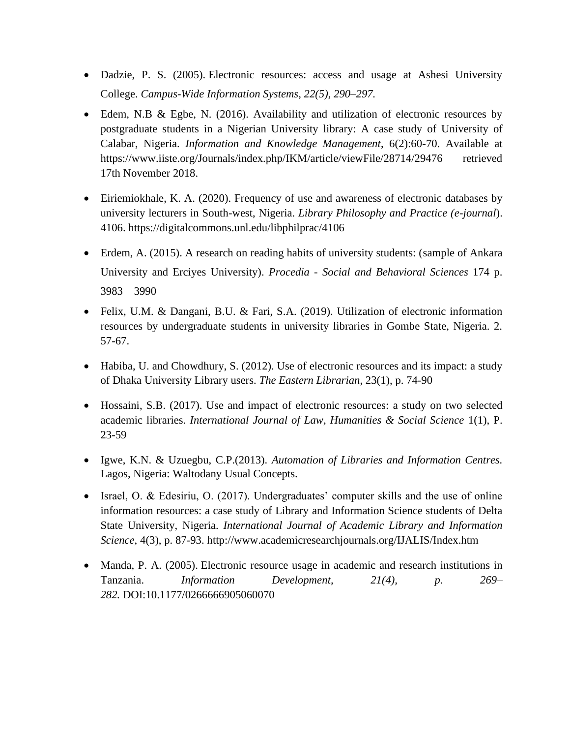- Dadzie, P. S. (2005). Electronic resources: access and usage at Ashesi University College. *Campus-Wide Information Systems, 22(5), 290–297.*
- Edem, N.B & Egbe, N. (2016). Availability and utilization of electronic resources by postgraduate students in a Nigerian University library: A case study of University of Calabar, Nigeria. *Information and Knowledge Management*, 6(2):60-70. Available at https://www.iiste.org/Journals/index.php/IKM/article/viewFile/28714/29476 retrieved 17th November 2018.
- Eiriemiokhale, K. A. (2020). Frequency of use and awareness of electronic databases by university lecturers in South-west, Nigeria. *Library Philosophy and Practice (e-journal*). 4106.<https://digitalcommons.unl.edu/libphilprac/4106>
- Erdem, A. (2015). A research on reading habits of university students: (sample of Ankara University and Erciyes University). *Procedia - Social and Behavioral Sciences* 174 p. 3983 – 3990
- Felix, U.M. & Dangani, B.U. & Fari, S.A. (2019). Utilization of electronic information resources by undergraduate students in university libraries in Gombe State, Nigeria. 2. 57-67.
- Habiba, U. and Chowdhury, S. (2012). Use of electronic resources and its impact: a study of Dhaka University Library users. *The Eastern Librarian*, 23(1), p. 74-90
- Hossaini, S.B. (2017). Use and impact of electronic resources: a study on two selected academic libraries. *International Journal of Law, Humanities & Social Science* 1(1), P. 23-59
- Igwe, K.N. & Uzuegbu, C.P.(2013). *Automation of Libraries and Information Centres.*  Lagos, Nigeria: Waltodany Usual Concepts.
- Israel, O. & Edesiriu, O. (2017). Undergraduates' computer skills and the use of online information resources: a case study of Library and Information Science students of Delta State University, Nigeria. *International Journal of Academic Library and Information Science*, 4(3), p. 87-93.<http://www.academicresearchjournals.org/IJALIS/Index.htm>
- Manda, P. A. (2005). Electronic resource usage in academic and research institutions in Tanzania. *Information Development, 21(4), p. 269– 282.* DOI:10.1177/0266666905060070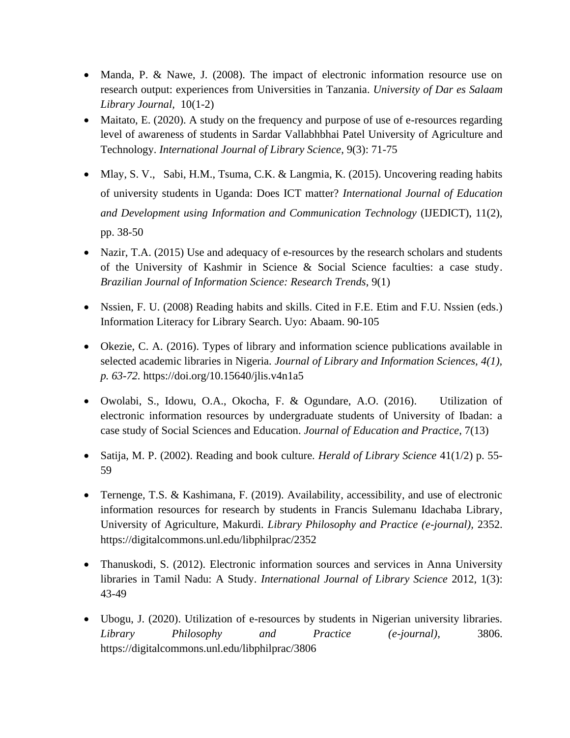- Manda, P. & Nawe, J. (2008). The impact of electronic information resource use on research output: experiences from Universities in Tanzania. *University of Dar es Salaam Library Journal,* 10(1-2)
- Maitato, E. (2020). A study on the frequency and purpose of use of e-resources regarding level of awareness of students in Sardar Vallabhbhai Patel University of Agriculture and Technology. *International Journal of Library Science*, 9(3): 71-75
- Mlay, S. V., Sabi, H.M., Tsuma, C.K. & Langmia, K. (2015). Uncovering reading habits of university students in Uganda: Does ICT matter? *International Journal of Education and Development using Information and Communication Technology* (IJEDICT), 11(2), pp. 38-50
- Nazir, T.A. (2015) [Use and adequacy of e-resources by the research scholars and students](http://www.bjis.unesp.br/revistas/index.php/bjis/article/view/5219) [of the University of Kashmir in Science & Social Science faculties: a case study.](http://www.bjis.unesp.br/revistas/index.php/bjis/article/view/5219) *Brazilian Journal of Information Science: Research Trends*, 9(1)
- Nssien, F. U. (2008) Reading habits and skills. Cited in F.E. Etim and F.U. Nssien (eds.) Information Literacy for Library Search. Uyo: Abaam. 90-105
- Okezie, C. A. (2016). Types of library and information science publications available in selected academic libraries in Nigeria. *Journal of Library and Information Sciences, 4(1), p. 63-72.* <https://doi.org/10.15640/jlis.v4n1a5>
- Owolabi, S., Idowu, O.A., Okocha, F. & Ogundare, A.O. (2016). Utilization of electronic information resources by undergraduate students of University of Ibadan: a case study of Social Sciences and Education. *Journal of Education and Practice*, 7(13)
- Satija, M. P. (2002). Reading and book culture. *Herald of Library Science* 41(1/2) p. 55- 59
- Ternenge, T.S. & Kashimana, F. (2019). Availability, accessibility, and use of electronic information resources for research by students in Francis Sulemanu Idachaba Library, University of Agriculture, Makurdi. *Library Philosophy and Practice (e-journal),* 2352. <https://digitalcommons.unl.edu/libphilprac/2352>
- Thanuskodi, S. (2012). Electronic information sources and services in Anna University libraries in Tamil Nadu: A Study. *International Journal of Library Science* 2012, 1(3): 43-49
- Ubogu, J. (2020). Utilization of e-resources by students in Nigerian university libraries. *Library Philosophy and Practice (e-journal),* 3806. <https://digitalcommons.unl.edu/libphilprac/3806>